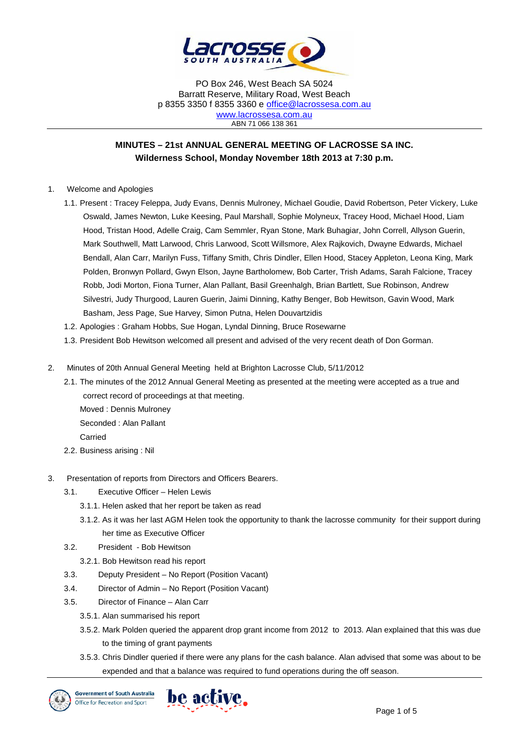

# **MINUTES – 21st ANNUAL GENERAL MEETING OF LACROSSE SA INC. Wilderness School, Monday November 18th 2013 at 7:30 p.m.**

- 1. Welcome and Apologies
	- 1.1. Present : Tracey Feleppa, Judy Evans, Dennis Mulroney, Michael Goudie, David Robertson, Peter Vickery, Luke Oswald, James Newton, Luke Keesing, Paul Marshall, Sophie Molyneux, Tracey Hood, Michael Hood, Liam Hood, Tristan Hood, Adelle Craig, Cam Semmler, Ryan Stone, Mark Buhagiar, John Correll, Allyson Guerin, Mark Southwell, Matt Larwood, Chris Larwood, Scott Willsmore, Alex Rajkovich, Dwayne Edwards, Michael Bendall, Alan Carr, Marilyn Fuss, Tiffany Smith, Chris Dindler, Ellen Hood, Stacey Appleton, Leona King, Mark Polden, Bronwyn Pollard, Gwyn Elson, Jayne Bartholomew, Bob Carter, Trish Adams, Sarah Falcione, Tracey Robb, Jodi Morton, Fiona Turner, Alan Pallant, Basil Greenhalgh, Brian Bartlett, Sue Robinson, Andrew Silvestri, Judy Thurgood, Lauren Guerin, Jaimi Dinning, Kathy Benger, Bob Hewitson, Gavin Wood, Mark Basham, Jess Page, Sue Harvey, Simon Putna, Helen Douvartzidis
	- 1.2. Apologies : Graham Hobbs, Sue Hogan, Lyndal Dinning, Bruce Rosewarne
	- 1.3. President Bob Hewitson welcomed all present and advised of the very recent death of Don Gorman.
- 2. Minutes of 20th Annual General Meeting held at Brighton Lacrosse Club, 5/11/2012
	- 2.1. The minutes of the 2012 Annual General Meeting as presented at the meeting were accepted as a true and correct record of proceedings at that meeting. Moved : Dennis Mulroney
		- Seconded : Alan Pallant
		- Carried
	- 2.2. Business arising : Nil
- 3. Presentation of reports from Directors and Officers Bearers.
	- 3.1. Executive Officer Helen Lewis
		- 3.1.1. Helen asked that her report be taken as read
		- 3.1.2. As it was her last AGM Helen took the opportunity to thank the lacrosse community for their support during her time as Executive Officer
	- 3.2. President Bob Hewitson
		- 3.2.1. Bob Hewitson read his report
	- 3.3. Deputy President No Report (Position Vacant)
	- 3.4. Director of Admin No Report (Position Vacant)
	- 3.5. Director of Finance Alan Carr
		- 3.5.1. Alan summarised his report
		- 3.5.2. Mark Polden queried the apparent drop grant income from 2012 to 2013. Alan explained that this was due to the timing of grant payments
		- 3.5.3. Chris Dindler queried if there were any plans for the cash balance. Alan advised that some was about to be expended and that a balance was required to fund operations during the off season.



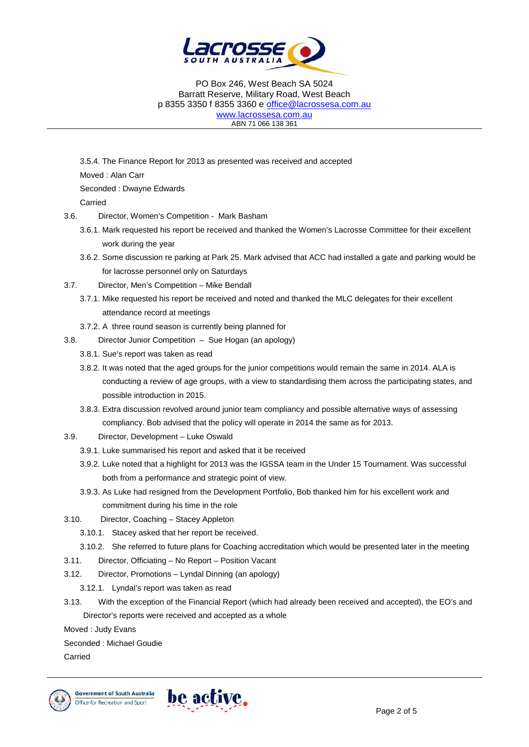

3.5.4. The Finance Report for 2013 as presented was received and accepted Moved : Alan Carr Seconded : Dwayne Edwards Carried 3.6. Director, Women's Competition - Mark Basham

- 3.6.1. Mark requested his report be received and thanked the Women's Lacrosse Committee for their excellent work during the year
- 3.6.2. Some discussion re parking at Park 25. Mark advised that ACC had installed a gate and parking would be for lacrosse personnel only on Saturdays
- 3.7. Director, Men's Competition Mike Bendall
	- 3.7.1. Mike requested his report be received and noted and thanked the MLC delegates for their excellent attendance record at meetings
	- 3.7.2. A three round season is currently being planned for
- 3.8. Director Junior Competition Sue Hogan (an apology)
	- 3.8.1. Sue's report was taken as read
	- 3.8.2. It was noted that the aged groups for the junior competitions would remain the same in 2014. ALA is conducting a review of age groups, with a view to standardising them across the participating states, and possible introduction in 2015.
	- 3.8.3. Extra discussion revolved around junior team compliancy and possible alternative ways of assessing compliancy. Bob advised that the policy will operate in 2014 the same as for 2013.
- 3.9. Director, Development Luke Oswald
	- 3.9.1. Luke summarised his report and asked that it be received
	- 3.9.2. Luke noted that a highlight for 2013 was the IGSSA team in the Under 15 Tournament. Was successful both from a performance and strategic point of view.
	- 3.9.3. As Luke had resigned from the Development Portfolio, Bob thanked him for his excellent work and commitment during his time in the role
- 3.10. Director, Coaching Stacey Appleton
	- 3.10.1. Stacey asked that her report be received.
	- 3.10.2. She referred to future plans for Coaching accreditation which would be presented later in the meeting
- 3.11. Director, Officiating No Report Position Vacant
- 3.12. Director, Promotions Lyndal Dinning (an apology)
	- 3.12.1. Lyndal's report was taken as read
- 3.13. With the exception of the Financial Report (which had already been received and accepted), the EO's and Director's reports were received and accepted as a whole

Moved : Judy Evans

Seconded : Michael Goudie

Carried

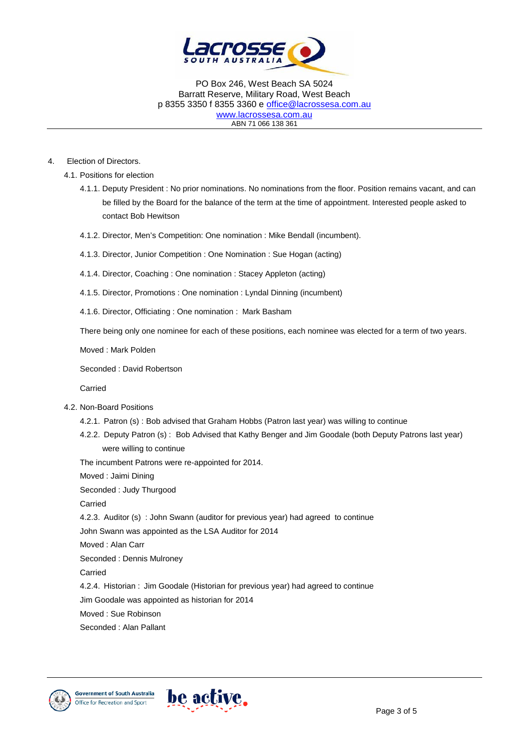

4. Election of Directors.

4.1. Positions for election

- 4.1.1. Deputy President : No prior nominations. No nominations from the floor. Position remains vacant, and can be filled by the Board for the balance of the term at the time of appointment. Interested people asked to contact Bob Hewitson
- 4.1.2. Director, Men's Competition: One nomination : Mike Bendall (incumbent).
- 4.1.3. Director, Junior Competition : One Nomination : Sue Hogan (acting)
- 4.1.4. Director, Coaching : One nomination : Stacey Appleton (acting)
- 4.1.5. Director, Promotions : One nomination : Lyndal Dinning (incumbent)
- 4.1.6. Director, Officiating : One nomination : Mark Basham

There being only one nominee for each of these positions, each nominee was elected for a term of two years.

Moved : Mark Polden

Seconded : David Robertson

Carried

- 4.2. Non-Board Positions
	- 4.2.1. Patron (s) : Bob advised that Graham Hobbs (Patron last year) was willing to continue
	- 4.2.2. Deputy Patron (s) : Bob Advised that Kathy Benger and Jim Goodale (both Deputy Patrons last year) were willing to continue

The incumbent Patrons were re-appointed for 2014.

Moved : Jaimi Dining

Seconded : Judy Thurgood Carried 4.2.3. Auditor (s) : John Swann (auditor for previous year) had agreed to continue John Swann was appointed as the LSA Auditor for 2014 Moved : Alan Carr Seconded : Dennis Mulroney Carried 4.2.4. Historian : Jim Goodale (Historian for previous year) had agreed to continue Jim Goodale was appointed as historian for 2014

Moved : Sue Robinson

Seconded : Alan Pallant



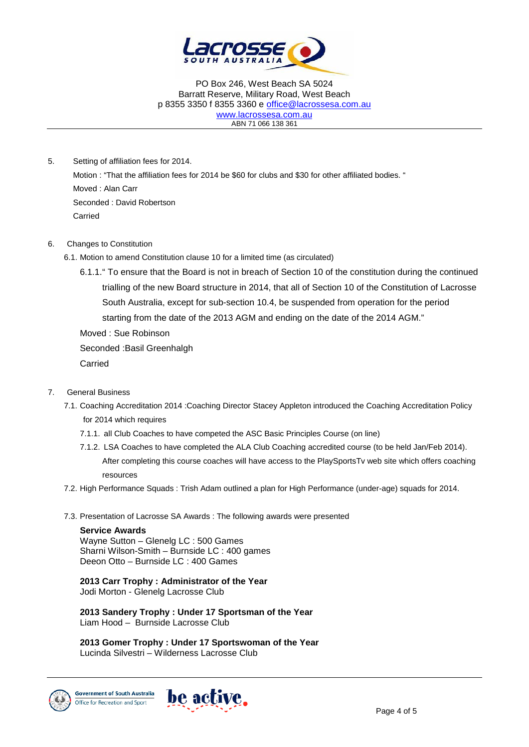

5. Setting of affiliation fees for 2014. Motion : "That the affiliation fees for 2014 be \$60 for clubs and \$30 for other affiliated bodies. " Moved : Alan Carr Seconded : David Robertson Carried

#### 6. Changes to Constitution

- 6.1. Motion to amend Constitution clause 10 for a limited time (as circulated)
	- 6.1.1." To ensure that the Board is not in breach of Section 10 of the constitution during the continued trialling of the new Board structure in 2014, that all of Section 10 of the Constitution of Lacrosse South Australia, except for sub-section 10.4, be suspended from operation for the period starting from the date of the 2013 AGM and ending on the date of the 2014 AGM."

Moved : Sue Robinson

Seconded :Basil Greenhalgh

Carried

### 7. General Business

- 7.1. Coaching Accreditation 2014 :Coaching Director Stacey Appleton introduced the Coaching Accreditation Policy for 2014 which requires
	- 7.1.1. all Club Coaches to have competed the ASC Basic Principles Course (on line)
	- 7.1.2. LSA Coaches to have completed the ALA Club Coaching accredited course (to be held Jan/Feb 2014). After completing this course coaches will have access to the PlaySportsTv web site which offers coaching resources
- 7.2. High Performance Squads : Trish Adam outlined a plan for High Performance (under-age) squads for 2014.
- 7.3. Presentation of Lacrosse SA Awards : The following awards were presented

#### **Service Awards**

Wayne Sutton – Glenelg LC : 500 Games Sharni Wilson-Smith – Burnside LC : 400 games Deeon Otto – Burnside LC : 400 Games

**2013 Carr Trophy : Administrator of the Year** Jodi Morton - Glenelg Lacrosse Club

**2013 Sandery Trophy : Under 17 Sportsman of the Year** Liam Hood – Burnside Lacrosse Club

**2013 Gomer Trophy : Under 17 Sportswoman of the Year** Lucinda Silvestri – Wilderness Lacrosse Club